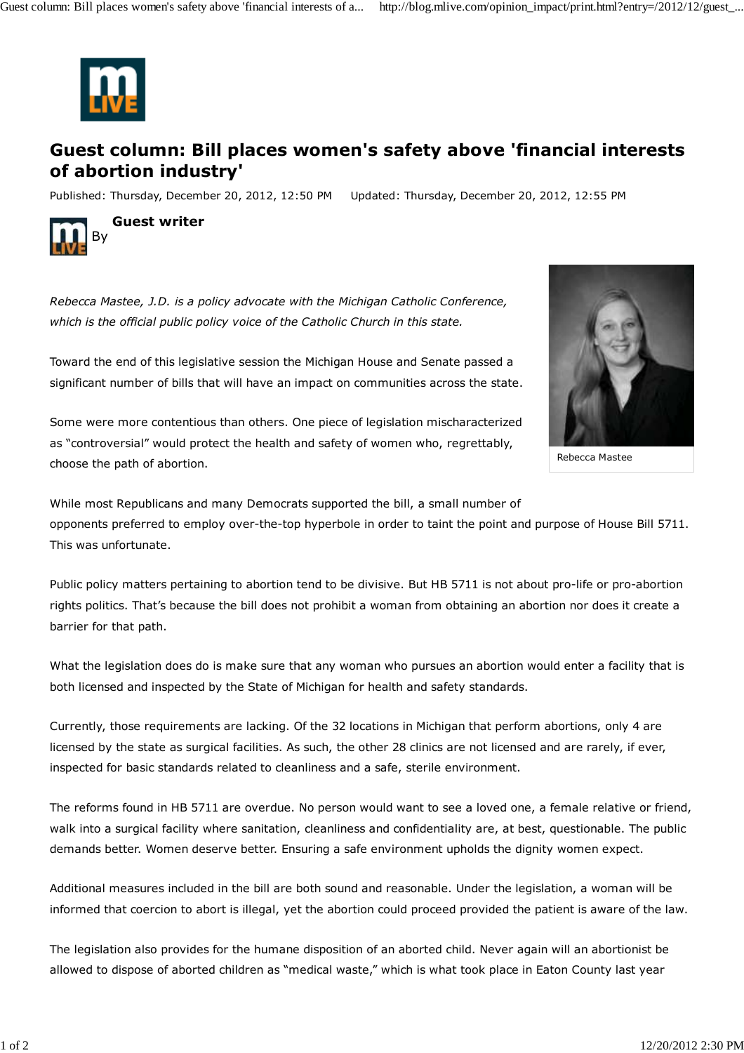

## **Guest column: Bill places women's safety above 'financial interests of abortion industry'**

Published: Thursday, December 20, 2012, 12:50 PM Updated: Thursday, December 20, 2012, 12:55 PM



**Guest writer**

*Rebecca Mastee, J.D. is a policy advocate with the Michigan Catholic Conference, which is the official public policy voice of the Catholic Church in this state.*

Toward the end of this legislative session the Michigan House and Senate passed a significant number of bills that will have an impact on communities across the state.

Some were more contentious than others. One piece of legislation mischaracterized as "controversial" would protect the health and safety of women who, regrettably, choose the path of abortion.



Rebecca Mastee

While most Republicans and many Democrats supported the bill, a small number of opponents preferred to employ over-the-top hyperbole in order to taint the point and purpose of House Bill 5711. This was unfortunate.

Public policy matters pertaining to abortion tend to be divisive. But HB 5711 is not about pro-life or pro-abortion rights politics. That's because the bill does not prohibit a woman from obtaining an abortion nor does it create a barrier for that path.

What the legislation does do is make sure that any woman who pursues an abortion would enter a facility that is both licensed and inspected by the State of Michigan for health and safety standards.

Currently, those requirements are lacking. Of the 32 locations in Michigan that perform abortions, only 4 are licensed by the state as surgical facilities. As such, the other 28 clinics are not licensed and are rarely, if ever, inspected for basic standards related to cleanliness and a safe, sterile environment.

The reforms found in HB 5711 are overdue. No person would want to see a loved one, a female relative or friend, walk into a surgical facility where sanitation, cleanliness and confidentiality are, at best, questionable. The public demands better. Women deserve better. Ensuring a safe environment upholds the dignity women expect.

Additional measures included in the bill are both sound and reasonable. Under the legislation, a woman will be informed that coercion to abort is illegal, yet the abortion could proceed provided the patient is aware of the law.

The legislation also provides for the humane disposition of an aborted child. Never again will an abortionist be allowed to dispose of aborted children as "medical waste," which is what took place in Eaton County last year